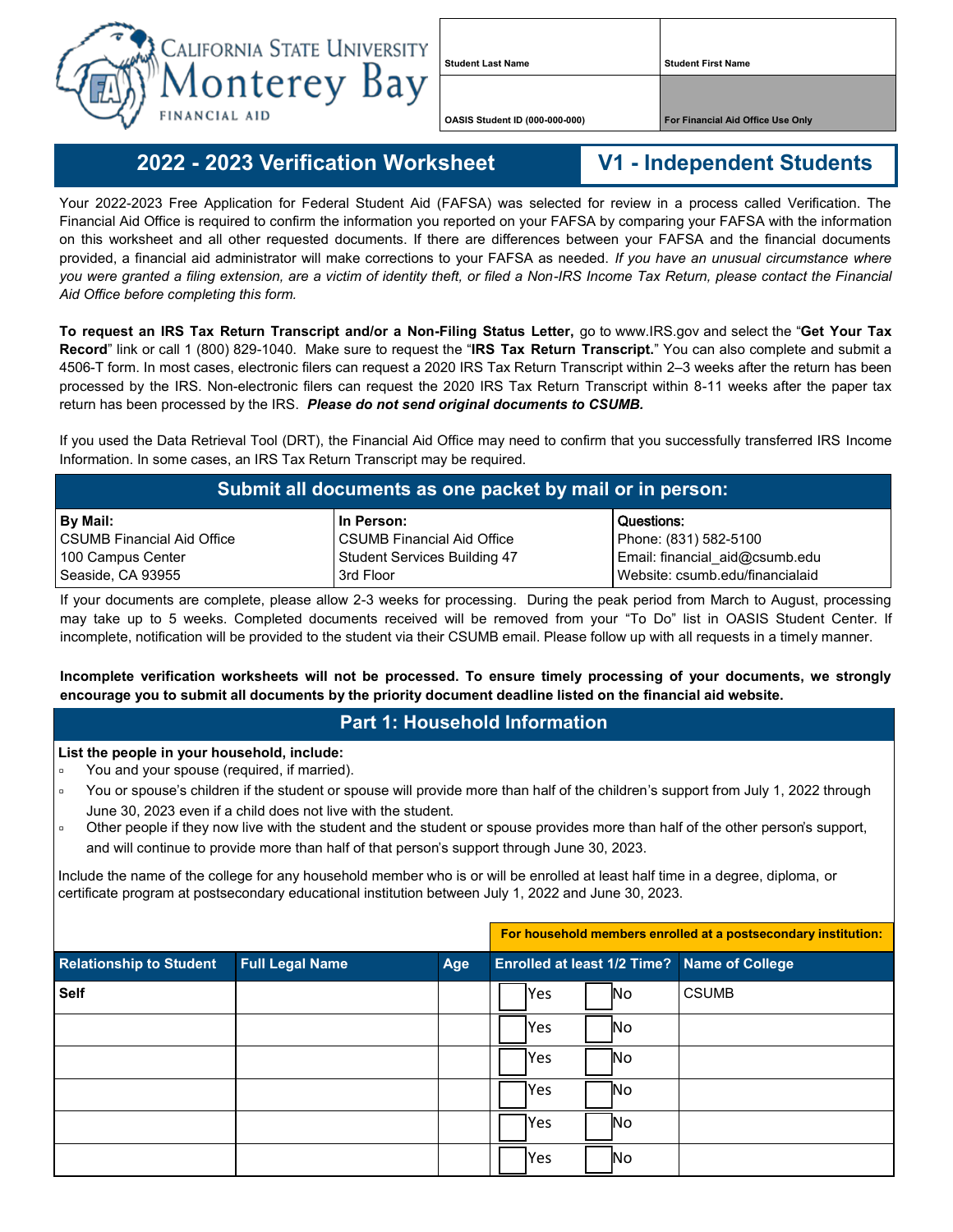

**Student Last Name Student First Name**

**OASIS Student ID (000-000-000) For Financial Aid Office Use Only**

## **2022 - - 2023 Verification Worksheet V1 - Independent Students**

Your 2022-2023 Free Application for Federal Student Aid (FAFSA) was selected for review in a process called Verification. The Financial Aid Office is required to confirm the information you reported on your FAFSA by comparing your FAFSA with the information on this worksheet and all other requested documents. If there are differences between your FAFSA and the financial documents provided, a financial aid administrator will make corrections to your FAFSA as needed. *If you have an unusual circumstance where you were granted a filing extension, are a victim of identity theft, or filed a Non-IRS Income Tax Return, please contact the Financial Aid Office before completing this form.*

**To request an IRS Tax Return Transcript and/or a Non-Filing Status Letter,** go to www.IRS.gov and select the "**Get Your Tax Record**" link or call 1 (800) 829-1040. Make sure to request the "**IRS Tax Return Transcript.**" You can also complete and submit a 4506-T form. In most cases, electronic filers can request a 2020 IRS Tax Return Transcript within 2–3 weeks after the return has been processed by the IRS. Non-electronic filers can request the 2020 IRS Tax Return Transcript within 8-11 weeks after the paper tax return has been processed by the IRS. *Please do not send original documents to CSUMB.*

If you used the Data Retrieval Tool (DRT), the Financial Aid Office may need to confirm that you successfully transferred IRS Income Information. In some cases, an IRS Tax Return Transcript may be required.

| Submit all documents as one packet by mail or in person: |                              |                                 |  |  |  |
|----------------------------------------------------------|------------------------------|---------------------------------|--|--|--|
| <b>By Mail:</b>                                          | l In Person:                 | Questions:                      |  |  |  |
| l CSUMB Financial Aid Office                             | l CSUMB Financial Aid Office | Phone: (831) 582-5100           |  |  |  |
| 100 Campus Center                                        | Student Services Building 47 | Email: financial_aid@csumb.edu  |  |  |  |
| Seaside, CA 93955                                        | 3rd Floor                    | Website: csumb.edu/financialaid |  |  |  |

If your documents are complete, please allow 2-3 weeks for processing. During the peak period from March to August, processing may take up to 5 weeks. Completed documents received will be removed from your "To Do" list in OASIS Student Center. If incomplete, notification will be provided to the student via their CSUMB email. Please follow up with all requests in a timely manner.

**Incomplete verification worksheets will not be processed. To ensure timely processing of your documents, we strongly encourage you to submit all documents by the priority document deadline listed on the financial aid website.**

## **Part 1: Household Information**

## **List the people in your household, include:**

- You and your spouse (required, if married).
- □ You or spouse's children if the student or spouse will provide more than half of the children's support from July 1, 2022 through June 30, 2023 even if a child does not live with the student.
- □ Other people if they now live with the student and the student or spouse provides more than half of the other person's support, and will continue to provide more than half of that person's support through June 30, 2023.

Include the name of the college for any household member who is or will be enrolled at least half time in a degree, diploma, or certificate program at postsecondary educational institution between July 1, 2022 and June 30, 2023.

|                                |                        |     |            |           | For household members enrolled at a postsecondary institution: |
|--------------------------------|------------------------|-----|------------|-----------|----------------------------------------------------------------|
| <b>Relationship to Student</b> | <b>Full Legal Name</b> | Age |            |           | Enrolled at least 1/2 Time? Name of College                    |
| <b>Self</b>                    |                        |     | <b>Yes</b> | No        | <b>CSUMB</b>                                                   |
|                                |                        |     | <b>Yes</b> | No        |                                                                |
|                                |                        |     | <b>Yes</b> | No        |                                                                |
|                                |                        |     | <b>Yes</b> | No        |                                                                |
|                                |                        |     | <b>Yes</b> | No        |                                                                |
|                                |                        |     | lYes       | <b>No</b> |                                                                |